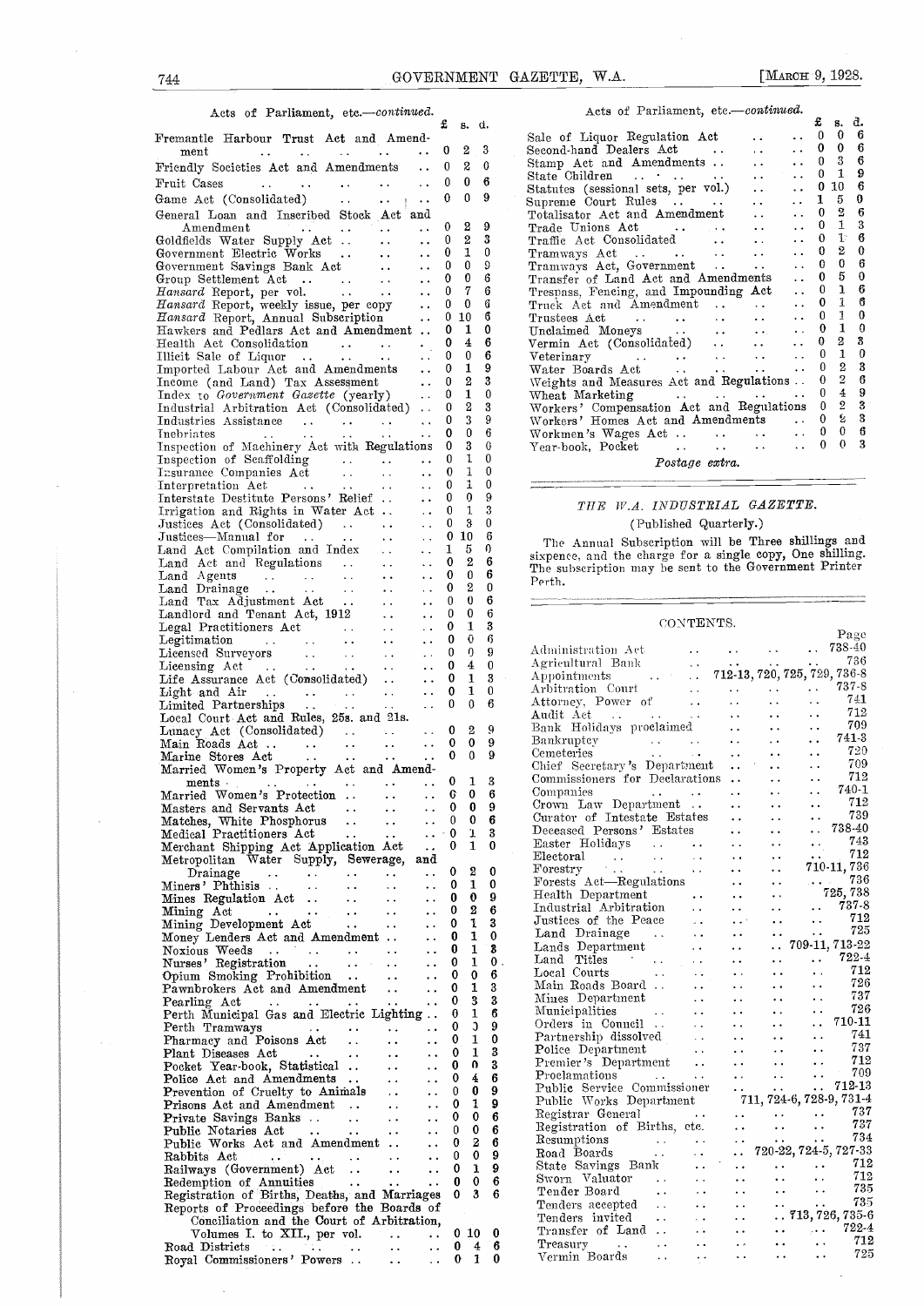### Acts of Parliament, etc.-continued.

| Fremantle Harbour Trust Act and Amend-                                                                                                                                                                   |                                                          | £                                            | s.               | α.                    | Sale of Liquor Regulati                                      |
|----------------------------------------------------------------------------------------------------------------------------------------------------------------------------------------------------------|----------------------------------------------------------|----------------------------------------------|------------------|-----------------------|--------------------------------------------------------------|
| and the same state of the state<br>$\footnotesize \text{ment}$                                                                                                                                           |                                                          | 0                                            | 2                | 3                     | Second-hand Dealers Act                                      |
| Friendly Societies Act and Amendments                                                                                                                                                                    |                                                          | 0                                            | S                | 0                     | Stamp Act and Amendr                                         |
|                                                                                                                                                                                                          | $\ldots$                                                 | 0                                            | 0                | 6                     | State Children  .                                            |
| Fruit Cases<br>Game Act (Consolidated) (1999)                                                                                                                                                            |                                                          | 0                                            | 0                | 9                     | Statutes (sessional sets,                                    |
|                                                                                                                                                                                                          | $\mathbf{v} \leftarrow \mathbf{v} \leftarrow \mathbf{v}$ |                                              |                  |                       | Supreme Court Rules .                                        |
| General Loan and Inscribed Stock Act and                                                                                                                                                                 |                                                          | 0                                            | 2                | 9                     | Totalisator Act and Am<br>Trade Unions Act                   |
|                                                                                                                                                                                                          |                                                          | 0                                            | $\boldsymbol{2}$ | 3                     | Traffic Act Consolidated                                     |
|                                                                                                                                                                                                          |                                                          | 0                                            | 1                | 0                     | Tramways Act                                                 |
|                                                                                                                                                                                                          |                                                          | 0                                            | 0                | O                     | Tramways Act, Governm                                        |
|                                                                                                                                                                                                          |                                                          |                                              | 0<br>0           | 6                     | Transfer of Land Act a                                       |
|                                                                                                                                                                                                          |                                                          |                                              | 7<br>$\bf{0}$    | 6                     | Trespass, Fencing, and 1                                     |
|                                                                                                                                                                                                          |                                                          |                                              | 0<br>0           | $\boldsymbol{6}$      | Truck Act and Amendn                                         |
| Hansard Report, weekly issue, per copy<br>Hansard Report, Annual Subscription                                                                                                                            |                                                          |                                              | $0^-$<br>10      | 6                     | Trustees Act<br>$\sim$ $\sim$                                |
| Hawkers and Pedlars Act and Amendment                                                                                                                                                                    |                                                          |                                              | 0<br>1           | 0                     | Unclaimed Moneys                                             |
|                                                                                                                                                                                                          |                                                          |                                              | 4<br>0           | 6                     | Vermin Act (Consolidate                                      |
|                                                                                                                                                                                                          | $\sim 100$                                               |                                              | 0<br>0           | 6                     | Veterinary                                                   |
| Imported Labour Act and Amendments                                                                                                                                                                       | $\ddot{\phantom{a}}$                                     |                                              | 1<br>0           | 9                     | Water Boards Act                                             |
| Income (and Land) Tax Assessment                                                                                                                                                                         | $\sim$ $\sim$                                            |                                              | 2<br>0           | 3                     | Weights and Measures A                                       |
| Index to Government Gazette (yearly)                                                                                                                                                                     | $\ddot{\phantom{0}}$ .                                   |                                              | $\mathbf 1$<br>0 | 0                     | Wheat Marketing                                              |
| Industrial Arbitration Act (Consolidated)                                                                                                                                                                |                                                          |                                              | 2<br>0           | 3<br>9                | Workers' Compensation                                        |
| $\begin{minipage}{0.9\linewidth} \textbf{Industries} & \textbf{Assistance} & \textbf{} & \textbf{} & \textbf{} \\ \textbf{Inebriates} & \textbf{} & \textbf{} & \textbf{} & \textbf{} \\ \end{minipage}$ |                                                          |                                              | 3<br>0<br>0<br>0 | 6                     | Workers' Homes Act an                                        |
|                                                                                                                                                                                                          |                                                          |                                              | 3<br>0           | 0                     | Workmen's Wages Act<br>Year-book, Pocket                     |
| Inspection of Machinery Act with Regulations<br>Inspection of Scaffolding                                                                                                                                |                                                          |                                              | 1<br>0           | 0                     |                                                              |
|                                                                                                                                                                                                          | $\sim$ .                                                 |                                              | 1<br>0           | 0                     | Pos                                                          |
|                                                                                                                                                                                                          | $\sim$ $\sim$                                            |                                              | 1<br>0           | 0                     |                                                              |
| Interstate Destitute Persons' Relief                                                                                                                                                                     | $\ddot{\phantom{a}}$ .                                   |                                              | 0<br>0           | 9                     |                                                              |
| Irrigation and Rights in Water Act                                                                                                                                                                       |                                                          |                                              | 1<br>0           | 3                     | THE W.A. IND                                                 |
| Justices Act (Consolidated)                                                                                                                                                                              | $\sim$ $\sim$                                            |                                              | 3<br>0           | 0                     | (Publish                                                     |
|                                                                                                                                                                                                          | $\sim$ $\sim$                                            |                                              | 0 10             | 6                     | The Annual Subscript                                         |
|                                                                                                                                                                                                          | $\ddot{\phantom{a}}$ .                                   |                                              | 1<br>5           | 0                     | sixpence, and the charge                                     |
|                                                                                                                                                                                                          | $\ddotsc$                                                |                                              | 2<br>0           | 6                     | The subscription may be                                      |
|                                                                                                                                                                                                          | $\ddot{\phantom{a}}$ .                                   |                                              | 0<br>0           | 6                     | Perth.                                                       |
|                                                                                                                                                                                                          | $\sim$ $\sim$                                            |                                              | 0                | 0<br>2                |                                                              |
|                                                                                                                                                                                                          | $\ddot{\phantom{a}}$ .                                   |                                              | $\bf{0}$<br>0    | 6                     |                                                              |
|                                                                                                                                                                                                          | $\ddotsc$                                                |                                              | 0<br>0           | 6                     | CO                                                           |
|                                                                                                                                                                                                          | $\ddotsc$                                                |                                              | 0                | 3<br>1<br>6           |                                                              |
|                                                                                                                                                                                                          | $\ddot{\phantom{1}}$                                     |                                              | 0<br>0           | 0<br>I)<br>9          | Administration Act                                           |
|                                                                                                                                                                                                          | $\Box$ .                                                 |                                              | 0                | 4<br>$\bf{0}$         | Agricultural Bank                                            |
|                                                                                                                                                                                                          | $\ddotsc$                                                | $\ddot{\phantom{0}}$                         | 0                | 1<br>3                |                                                              |
|                                                                                                                                                                                                          |                                                          | $\ddot{\phantom{0}}$                         | 0                | 0<br>1                | Arbitration Court                                            |
|                                                                                                                                                                                                          | $\sim$ $\sim$                                            |                                              | 0                | 6<br>0                | Attorney, Power of                                           |
| Local Court Act and Rules, 25s. and 21s.                                                                                                                                                                 |                                                          |                                              |                  |                       | Audit Act                                                    |
|                                                                                                                                                                                                          |                                                          |                                              | 0                | $\boldsymbol{2}$<br>9 | Bank Holidays proclain                                       |
|                                                                                                                                                                                                          |                                                          |                                              | 0                | 9<br>0                | Bankruptcy<br>Cemeteries                                     |
|                                                                                                                                                                                                          |                                                          |                                              | 0                | 0<br>9                |                                                              |
| Married Women's Property Act and Amend-                                                                                                                                                                  |                                                          |                                              |                  |                       | Chief Secretary's Depa:                                      |
| ments<br>ments<br>Married Women's Protection                                                                                                                                                             | $\langle\langle\mathbf{r},\mathbf{r}\rangle\rangle$      | $\ddot{\phantom{1}}$ .                       | 0                | 1<br>3                | Commissioners for Decla                                      |
|                                                                                                                                                                                                          |                                                          | $\ddotsc$                                    | G                | 0<br>6                | Companies<br>$\sim$ $\sim$<br>Crown Law Departmen            |
| Masters and Servants Act                                                                                                                                                                                 |                                                          | $\ddot{\phantom{a}}$                         | 0                | $\bf{0}$<br>9         | Curator of Intestate E                                       |
| Matches, White Phosphorus<br>$\ddot{\phantom{0}}$                                                                                                                                                        | $\ddot{\phantom{0}}$                                     | $\ddot{\phantom{0}}$                         | 0                | 0<br>6<br>3           | Deceased Persons' Esta                                       |
| Medical Practitioners Act<br>$\ddotsc$<br>Merchant Shipping Act Application Act                                                                                                                          | $\ddot{\phantom{0}}$                                     | $\ddots > 0$<br>$\ddot{\phantom{a}}$         | 0                | ı<br>1<br>0           | Easter Holidays<br><b>Contractor</b>                         |
| Metropolitan Water Supply, Sewerage,                                                                                                                                                                     | and                                                      |                                              |                  |                       | ${\rm Electoral}$<br>$\sim 1000$<br>$\ddot{\phantom{0}}$     |
| Drainage                                                                                                                                                                                                 | $\ddotsc$                                                | $\ddotsc$                                    | 0                | 2<br>0                | $\Gamma$ orestry                                             |
| Drainage<br>Miners' Phthisis                                                                                                                                                                             | $\ddotsc$                                                | . .                                          | 0                | 0<br>1                | Forests Act-Regulation                                       |
| Mines Regulation Act.<br>$\ddot{\phantom{0}}$                                                                                                                                                            | $\ddot{\phantom{0}}$                                     | $\ddot{\phantom{0}}$                         | 0                | 9<br>0                | Health Department                                            |
| Mining Act<br>$\mathcal{L}^{\text{max}}_{\text{max}}$ and $\mathcal{L}^{\text{max}}_{\text{max}}$<br>$\ddot{\phantom{0}}$                                                                                | $\ddot{\phantom{0}}$                                     | $\ddot{\phantom{a}}$                         | 0                | 2<br>6                | Industrial Arbitration                                       |
| Mining Development Act<br>$\sim$ 100 $\sim$                                                                                                                                                              | $\ddotsc$                                                | $\ddot{\phantom{1}}$                         | 0                | 1<br>3                | Justices of the Peace                                        |
| Money Lenders Act and Amendment                                                                                                                                                                          |                                                          | $\ddot{\phantom{0}}$                         | 0                | 0<br>1                | Land Drainage                                                |
| Noxious Weeds<br>Nurses' Registration                                                                                                                                                                    | $\ddot{\phantom{a}}$                                     | . .                                          | 0                | 3<br>1                | Lands Department                                             |
|                                                                                                                                                                                                          | $\ddot{\phantom{a}}$                                     | $\ddot{\phantom{0}}$                         | 0                | 0.<br>1               | Land Titles<br>Local Courts                                  |
| Opium Smoking Prohibition                                                                                                                                                                                | $\ddotsc$                                                | $\ddot{\phantom{0}}$                         | 0                | 6<br>0                | $\sim$ $\sim$<br>Main Roads Board                            |
| Pawnbrokers Act and Amendment                                                                                                                                                                            | $\ddot{\phantom{0}}$                                     | $\ddot{\phantom{0}}$                         | 0                | 3<br>1<br>3           | Mines Department                                             |
| Pearling Act<br>$\mathcal{L}^{\mathcal{A}}$ . The contract of the contract of $\mathcal{L}^{\mathcal{A}}$                                                                                                | $\ddot{\phantom{0}}$                                     | $\ddot{\phantom{0}}$                         | 0                | 3<br>6<br>1           | Municipalities<br>$\sim 10^{11}$ km s $^{-1}$                |
| Perth Municipal Gas and Electric Lighting                                                                                                                                                                |                                                          |                                              | 0<br>0           | 9<br>J                | Orders in Council                                            |
| Perth Tramways<br>Pharmacy and Poisons Act                                                                                                                                                               |                                                          | $\ddot{\phantom{0}}$                         | 0                | 0<br>1                | Partnership dissolved                                        |
| Plant Diseases Act<br>$\sim 100$ km s $^{-1}$<br>$\sim$ $\sim$                                                                                                                                           | $\ddot{\phantom{0}}$<br>$\ddot{\phantom{0}}$             | $\ddotsc$<br>$\ddot{\phantom{0}}$            | 0                | 3<br>1                | Police Department                                            |
| Pocket Year-book, Statistical                                                                                                                                                                            | $\ddot{\phantom{0}}$                                     | $\ddot{\phantom{0}}$                         | 0                | 3<br>0                | Premier's Department                                         |
| Police Act and Amendments                                                                                                                                                                                | $\ddot{\phantom{0}}$                                     | $\ddot{\phantom{0}}$                         | 0                | 6<br>4                | Proclamations<br>$\sim$ $\sim$                               |
| Prevention of Cruelty to Animals                                                                                                                                                                         | $\sim$ $\sim$                                            | $\ddotsc$                                    | 0                | 0<br>9                | Public Service Commis                                        |
| <b>Prisons Act and Amendment</b>                                                                                                                                                                         | $\ddot{\phantom{a}}$                                     | $\ddot{\phantom{0}}$                         | 0                | 9<br>1                | Public Works Departm                                         |
| Private Savings Banks                                                                                                                                                                                    | $\ddot{\phantom{0}}$                                     | $\ddot{\phantom{1}}$                         | 0                | 6<br>0                | Registrar General                                            |
| Public Notaries Act<br>$\ddotsc$                                                                                                                                                                         | $\ddot{\phantom{0}}$                                     | $\ddot{\phantom{0}}$                         | 0                | 6<br>0                | Registration of Births,                                      |
| Public Works Act and Amendment                                                                                                                                                                           |                                                          | $\ddot{\phantom{0}}$                         | 0                | 2<br>6                | Resumptions<br>$\sim$ $\sim$                                 |
| Rabbits Act<br>the company of the company of the                                                                                                                                                         | $\sim$ .                                                 | $\ddot{\phantom{0}}$                         | 0                | 9<br>0                | Road Boards<br>$\ddotsc$                                     |
| Railways (Government) Act                                                                                                                                                                                | $\ddot{\phantom{0}}$                                     | $\ddot{\phantom{0}}$                         | 0                | 9<br>1                | State Savings Bank<br>Sworn Valuator                         |
| Redemption of Annuities<br>$\mathcal{L}^{\text{max}}$ , where $\mathcal{L}^{\text{max}}$                                                                                                                 | $\cdots$                                                 | $\ddot{\phantom{0}}$                         | 0                | 6<br>0                | $\ddot{\phantom{0}}$<br>Tender Board<br>$\ddot{\phantom{0}}$ |
| Registration of Births, Deaths, and Marriages                                                                                                                                                            |                                                          |                                              | 0                | 3<br>6                | Tenders accepted<br>$\sim$ $\sim$                            |
| Reports of Proceedings before the Boards of                                                                                                                                                              |                                                          |                                              |                  |                       | Tenders invited<br>$\ddot{\phantom{0}}$                      |
| Conciliation and the Court of Arbitration,<br>Volumes I. to XII., per vol.                                                                                                                               |                                                          |                                              | 0 10             | 0                     | Transfer of Land                                             |
|                                                                                                                                                                                                          | $\ddot{\phantom{a}}$<br>$\ddotsc$                        | $\ddot{\phantom{0}}$<br>$\ddot{\phantom{a}}$ | 0                | 4<br>6                | Treasury<br>$\ddot{\phantom{0}}$                             |
| Royal Commissioners' Powers                                                                                                                                                                              |                                                          | $\ddotsc$                                    | 0                | 1<br>0                | Vermin Boards<br>$\ddot{\phantom{1}}$ .                      |
|                                                                                                                                                                                                          |                                                          |                                              |                  |                       |                                                              |

| Acts of Parliament, etc.-continued. |                      |              |               |                    |              |
|-------------------------------------|----------------------|--------------|---------------|--------------------|--------------|
|                                     |                      |              |               | в.                 | d.           |
| Sale of Liquor Regulation Act       | . .                  | $\ldots$ 0   |               | $\theta$           | - 6          |
| Second-hand Dealers Act             | $\sim$ $\sim$        | $\ldots$ 0   |               | $\mathbf{0}$       | -6           |
| Stamp Act and Amendments            | $\ddot{\phantom{a}}$ |              |               | $\therefore$ 0 3 6 |              |
| State Children<br>$\sim$ 100 $\sim$ | $\ddot{\phantom{a}}$ | $\ldots$ 0 1 |               |                    | - 9          |
| Statutes (sessional sets, per vol.) | $\ddot{\phantom{a}}$ |              |               | $\ldots$ 0 10      | -6           |
| Supreme Court Rules                 |                      | $\ldots$ 1 5 |               |                    | $\mathbf{0}$ |
| Totalisator Act and Amendment       |                      |              |               | $\bullet$          |              |
|                                     |                      |              | $\sim$ $\sim$ |                    |              |

| Supreme Court Rules                                                                                                                     |              | $\mathbf{1}$ | 5              | 0  |
|-----------------------------------------------------------------------------------------------------------------------------------------|--------------|--------------|----------------|----|
| Totalisator Act and Amendment   0 2                                                                                                     |              |              |                | 6  |
|                                                                                                                                         |              |              |                |    |
| Traffic Act Consolidated                                                                                                                | $\ddotsc$    | 0            | T.             | -6 |
|                                                                                                                                         |              | $\mathbf{0}$ | $^{2}$         | 0  |
| Tramways Act, Government                                                                                                                | $\cdots$     | $\mathbf{0}$ | 0              | 6  |
| Transfer of Land Act and Amendments                                                                                                     | $\ddotsc$    | $\mathbf{0}$ | $5^{\circ}$    | 0  |
| Trespass, Fencing, and Impounding Act                                                                                                   | $\ddotsc$    |              | $0\quad 1$     | 6  |
| Truck Act and Amendment                                                                                                                 | $\ddotsc$    | 0            | $\mathbf{I}$   | 6  |
| $\mathcal{L}(\mathcal{L})$ and $\mathcal{L}(\mathcal{L})$ and $\mathcal{L}(\mathcal{L})$ and $\mathcal{L}(\mathcal{L})$<br>Trustees Act | $\ddotsc$    |              | $0-1$          | 0  |
|                                                                                                                                         | $\cdots$ 0 1 |              |                | 0  |
| Vermin Act (Consolidated)                                                                                                               |              | $\mathbf{0}$ | $2^{\circ}$    | 3  |
|                                                                                                                                         |              |              | $\mathbf{1}$   | 0  |
| $\ldots$ $\ldots$ $\ldots$ $\ldots$ 0<br>Water Boards Act                                                                               |              |              | $^{2}$         | 3  |
| Weights and Measures Act and Regulations . 0                                                                                            |              |              | $\overline{2}$ | 6  |
| Wheat Marketing $\cdots$ $\cdots$ $\cdots$ $\cdots$                                                                                     |              |              | 4              | 9  |
| Workers' Compensation Act and Regulations 0 2                                                                                           |              |              |                | 3  |
| Workers' Homes Act and Amendments  0 2                                                                                                  |              |              |                | -3 |
| Workmen's Wages Act 0                                                                                                                   |              |              | 0              | 6  |
|                                                                                                                                         |              | 0            | 0              | 3  |
|                                                                                                                                         |              |              |                |    |

Postage extra.

## THE W.A. INDUSTRIAL GAZETTE.

### (Published Quarterly.)

 $\begin{array}{cc} 1 & 5 & 0 \\ 0 & 2 & 6 \end{array}$  sixpence, and the charge for a single copy, One shilling.<br>  $0 & 0 & 6 \end{array}$  The subscription may be sent to the Government Printer The Annual Subscription will be Three shillings and Perth.

#### CONTENTS. Page .. 738-40 Administration Act 736 Agricultural Bank<br>Appointments 712 3, 720, 725, 729, 736-8 Appointments Arbitration Court  $\ddotsc$  $\begin{array}{r} . . . . . 737 - 8 \\ . . . . . 741 \end{array}$  $\sim$   $\sim$  $\sim$   $\sim$  $\ddotsc$ 741 0 2 9 Attorney, Power of Audit Act .. . . Bank Holidays proclaimed Bankruptcy  $\ddot{\phantom{a}}$ 712  $\ddot{\phantom{0}}$  $\ddot{\phantom{a}}$ 709  $\ddotsc$  $\ddot{\phantom{a}}$ Cemeteries . Chief Secretary 's Department Commissioners for Declarations 741-3  $\ddot{\phantom{0}}$  $\ddot{\phantom{a}}$ 720 **9** Cemeteries  $\ddot{\phantom{0}}$ 709  $\ddot{\phantom{1}}$ 712 0 1 3  $\ddot{\phantom{1}}$  . 740-1  $\ddotsc$ Companies Crown Law Department .. Curator of Intestate Estates 712  $\ddotsc$  $\begin{array}{ccc} . . & 712 \ . . & 739 \ . . & 738-40 \ \end{array}$  $\ddot{\phantom{1}}$ 0 1 3 Deceased Persons' Estates .. 738-40  $\ddotsc$ .. 743 o 1 o Baster Holidays ...<br>Electoral ...  $\ddot{\phantom{a}}$ 712  $\ddot{\phantom{a}}$  $\ddot{\phantom{a}}$ 710 -11, 736 Forestry Forests ActRegulations Health Department Industrial Arbitration  $\ddot{\phantom{a}}$ 736  $\ddot{\phantom{a}}$  $\cdots$ 725, 738  $\ddot{\phantom{a}}$  $\ldots$  737-8<br> $\ldots$  712  $\ddot{\phantom{a}}$ 712 Justices of the Peace ...  $\ddot{\phantom{a}}$ Land Drainage 725  $\ddot{\phantom{a}}$  $\ddotsc$  $\ldots$  709-11, 713-22<br> $\ldots$  722-4 Lands Department Land Titles  $\ddotsc$  $\ddot{\phantom{a}}$ .. 722-4  $\ddot{\phantom{a}}$  $\ddot{\phantom{a}}$  $\ddot{\phantom{a}}$ 712 Local Courts .  $\ddot{\phantom{0}}$  $\ddot{\phantom{a}}$  $\ddot{\phantom{0}}$  $\ddot{\phantom{a}}$  . Main Roads Board 726  $\ddot{\phantom{0}}$  $\ddotsc$ 3 Main Roads Board<br>3 Mines Department  $\ddot{\phantom{0}}$ 737 0 3 3 Mines Department<br>
0 1 6 Municipalities ....<br>
0 3 9 Orders in Council ....<br>
0 1 0 Partnership dissolved ...<br>
0 1 3 Police Department ...<br>
0 0 3 Premier 's Department ..  $\ddot{\phantom{a}}$  $\ddot{\phantom{a}}$  $\frac{1}{26}$ 6 Municipalities<br>9 Orders in Council  $\ddot{\phantom{0}}$  $\ddot{\phantom{a}}$ .. 710-11  $\ddot{\phantom{0}}$  $\ddot{\phantom{a}}$ o Partnership dissolved<br>3 Police Department 741  $\ddotsc$  $\ddot{\phantom{1}}$  $\ddot{\phantom{a}}$ 737  $\ddot{\phantom{1}}$  .  $\begin{array}{cc} \ldots & 737 \\ \ldots & 712 \\ \ldots & 709 \end{array}$  $\ddot{\phantom{a}}$  $\ddotsc$  $\ddotsc$ .. <sup>709</sup> Proclamations  $\ddot{\phantom{0}}$  $\ddotsc$ 712-13 Public Service Commissioner ... 711, 724-6, 728-9, 731-4 0 1 9 Public Works Department<br>0 0 6 Registrar General ...<br>0 0 6 Registration of Births, etc. 737  $\ddot{\phantom{a}}$  .  $\begin{array}{cc} \ldots & 737 \\ \ldots & 737 \end{array}$  $\dddot{\phantom{1}}$ 734 o 2 6 Resumptions<br>0 0 9 Road Boards 6 Resumptions<br>9 Road Boards 720-22, 724-5, 727-33  $\ddot{\phantom{1}}$  $\ddotsc$ 712 o 1 9 State Savings Bank ...<br>0 0 6 Sworn Valuator ...  $\ddotsc$  $\ddot{\phantom{a}}$  $\ddotsc$ 712  $\frac{712}{11}$  $\ddot{\phantom{a}}$  $\ddotsc$  $\begin{matrix} 0 & 3 & 6 \end{matrix}$  Tender Board  $\begin{matrix} \cdot \end{matrix}$  $\ddot{\phantom{a}}$  $\ddotsc$ 735 Tenders accepted ........<br>Tenders invited .........<br>Transfer of Land .........  $\ddot{\phantom{a}}$  $\ldots$  713, 726, 735-6<br> $\ldots$  722-4  $\ddot{\phantom{a}}$ 722-4 0 10 0 Transfer of Land ..  $\ddot{\phantom{a}}$  $\ddot{\phantom{a}}$ .. 712 6 Treasury<br>0 Vermin 1  $\ddotsc$  $\ddot{\phantom{a}}$  $\ddot{\phantom{a}}$

 $\ddot{\phantom{0}}$ 

 $\ddotsc$ 

 $\ddot{\phantom{a}}$ 

.. 725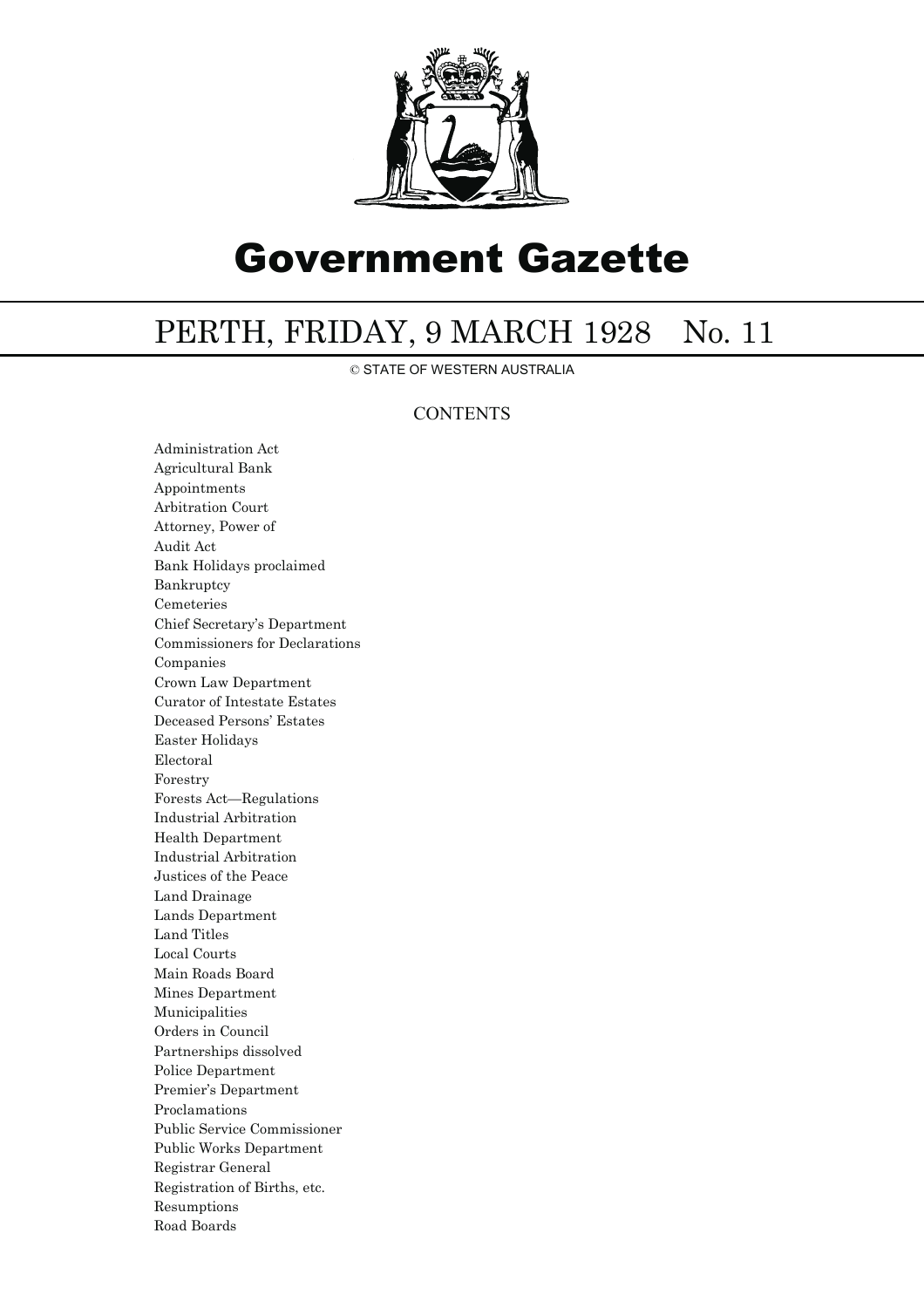

# Government Gazette

# PERTH, FRIDAY, 9 MARCH 1928 No. 11

© STATE OF WESTERN AUSTRALIA

## **CONTENTS**

Administration Act Agricultural Bank Appointments Arbitration Court Attorney, Power of Audit Act Bank Holidays proclaimed Bankruptcy Cemeteries Chief Secretary's Department Commissioners for Declarations Companies Crown Law Department Curator of Intestate Estates Deceased Persons' Estates Easter Holidays Electoral Forestry Forests Act—Regulations Industrial Arbitration Health Department Industrial Arbitration Justices of the Peace Land Drainage Lands Department Land Titles Local Courts Main Roads Board Mines Department Municipalities Orders in Council Partnerships dissolved Police Department Premier's Department Proclamations Public Service Commissioner Public Works Department Registrar General Registration of Births, etc. Resumptions Road Boards